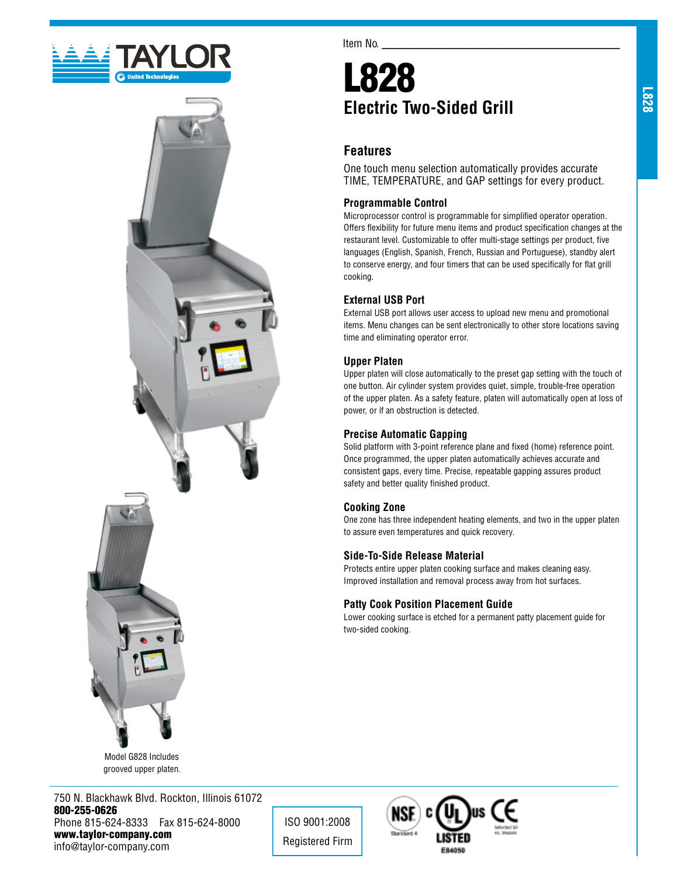



Model G828 Includes grooved upper platen.

750 N. Blackhawk Blvd. Rockton, Illinois 61072 800-255-0626 Phone 815-624-8333 Fax 815-624-8000 www.taylor-company.com info@taylor-company.com

Item No.

# L828 **Electric Two-Sided Grill**

# **Features**

One touch menu selection automatically provides accurate TIME, TEMPERATURE, and GAP settings for every product.

#### **Programmable Control**

Microprocessor control is programmable for simplified operator operation. Offers flexibility for future menu items and product specification changes at the restaurant level. Customizable to offer multi-stage settings per product, five languages (English, Spanish, French, Russian and Portuguese), standby alert to conserve energy, and four timers that can be used specifically for flat grill cooking.

### **External USB Port**

External USB port allows user access to upload new menu and promotional items. Menu changes can be sent electronically to other store locations saving time and eliminating operator error.

#### **Upper Platen**

Upper platen will close automatically to the preset gap setting with the touch of one button. Air cylinder system provides quiet, simple, trouble-free operation of the upper platen. As a safety feature, platen will automatically open at loss of power, or if an obstruction is detected.

#### **Precise Automatic Gapping**

Solid platform with 3-point reference plane and fixed (home) reference point. Once programmed, the upper platen automatically achieves accurate and consistent gaps, every time. Precise, repeatable gapping assures product safety and better quality finished product.

#### **Cooking Zone**

ISO 9001:2008 Registered Firm

One zone has three independent heating elements, and two in the upper platen to assure even temperatures and quick recovery.

#### **Side-To-Side Release Material**

Protects entire upper platen cooking surface and makes cleaning easy. Improved installation and removal process away from hot surfaces.

#### **Patty Cook Position Placement Guide**

Lower cooking surface is etched for a permanent patty placement guide for two-sided cooking.